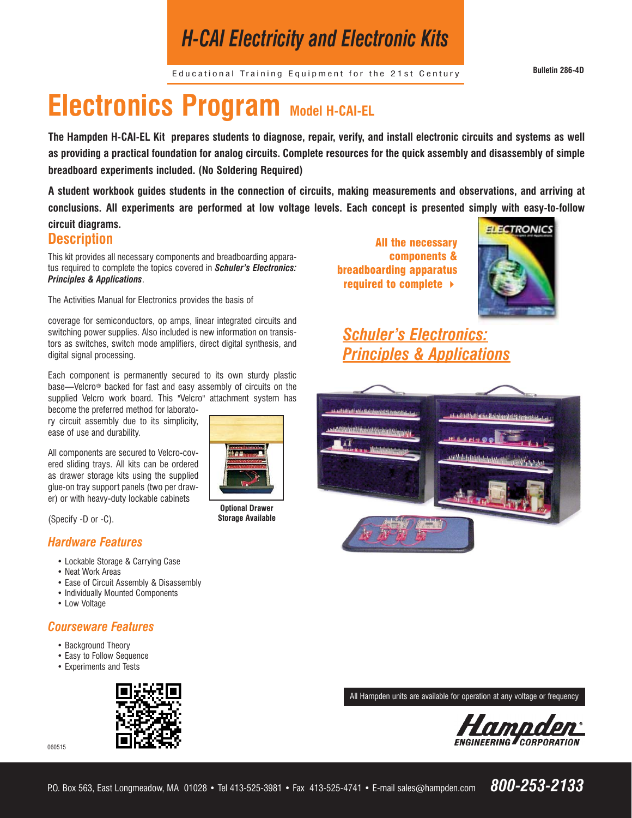# *H-CAI Electricity and Electronic Kits*

Educational Training Equipment for the 21st Century **Bulletin 286-4D**

# **Electronics Program Model H-CAI-EL**

**The Hampden H-CAI-EL Kit prepares students to diagnose, repair, verify, and install electronic circuits and systems as well as providing a practical foundation for analog circuits. Complete resources for the quick assembly and disassembly of simple breadboard experiments included. (No Soldering Required)**

**A student workbook guides students in the connection of circuits, making measurements and observations, and arriving at conclusions. All experiments are performed at low voltage levels. Each concept is presented simply with easy-to-follow** 

### **circuit diagrams. Description**

This kit provides all necessary components and breadboarding apparatus required to complete the topics covered in *Schuler's Electronics: Principles & Applications*.

The Activities Manual for Electronics provides the basis of

coverage for semiconductors, op amps, linear integrated circuits and switching power supplies. Also included is new information on transistors as switches, switch mode amplifiers, direct digital synthesis, and digital signal processing.

Each component is permanently secured to its own sturdy plastic base—Velcro® backed for fast and easy assembly of circuits on the supplied Velcro work board. This "Velcro" attachment system has

become the preferred method for laboratory circuit assembly due to its simplicity, ease of use and durability.

All components are secured to Velcro-covered sliding trays. All kits can be ordered as drawer storage kits using the supplied glue-on tray support panels (two per drawer) or with heavy-duty lockable cabinets

(Specify -D or -C).

#### *Hardware Features*

- Lockable Storage & Carrying Case
- Neat Work Areas
- Ease of Circuit Assembly & Disassembly
- Individually Mounted Components
- Low Voltage

### *Courseware Features*

- Background Theory
- Easy to Follow Sequence
- Experiments and Tests



060515



**Optional Drawer Storage Available**

All the necessary components & breadboarding apparatus required to complete



## *Schuler's Electronics: Principles & Applications*



All Hampden units are available for operation at any voltage or frequency